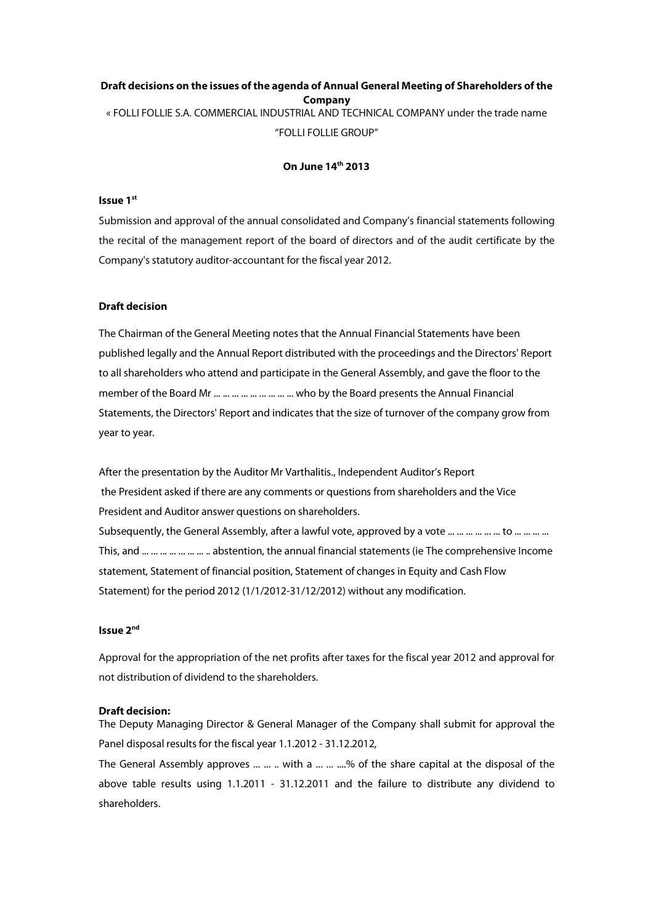# **Draft decisions on the issues of the agenda of Annual General Meeting of Shareholders of the Company** « FOLLI FOLLIE S.A. COMMERCIAL INDUSTRIAL AND TECHNICAL COMPANY under the trade name "FOLLI FOLLIE GROUP"

## **On June 14th 2013**

#### **Issue 1 st**

Submission and approval of the annual consolidated and Company's financial statements following the recital of the management report of the board of directors and of the audit certificate by the Company's statutory auditor-accountant for the fiscal year 2012.

### **Draft decision**

The Chairman of the General Meeting notes that the Annual Financial Statements have been published legally and the Annual Report distributed with the proceedings and the Directors' Report to all shareholders who attend and participate in the General Assembly, and gave the floor to the member of the Board Mr ... ... ... ... ... ... ... ... ... who by the Board presents the Annual Financial Statements, the Directors' Report and indicates that the size of turnover of the company grow from year to year.

After the presentation by the Auditor Mr Varthalitis., Independent Auditor's Report the President asked if there are any comments or questions from shareholders and the Vice President and Auditor answer questions on shareholders. Subsequently, the General Assembly, after a lawful vote, approved by a vote ... ... ... ... ... ... to ... ... ... ... This, and ... ... ... ... ... ... ... .. abstention, the annual financial statements (ie The comprehensive Income statement, Statement of financial position, Statement of changes in Equity and Cash Flow Statement) for the period 2012 (1/1/2012-31/12/2012) without any modification.

#### **lssue** 2<sup>nd</sup>

Approval for the appropriation of the net profits after taxes for the fiscal year 2012 and approval for not distribution of dividend to the shareholders.

#### **Draft decision:**

The Deputy Managing Director & General Manager of the Company shall submit for approval the Panel disposal results for the fiscal year 1.1.2012 - 31.12.2012,

The General Assembly approves ... ... ... with a ... ... ....% of the share capital at the disposal of the above table results using 1.1.2011 - 31.12.2011 and the failure to distribute any dividend to shareholders.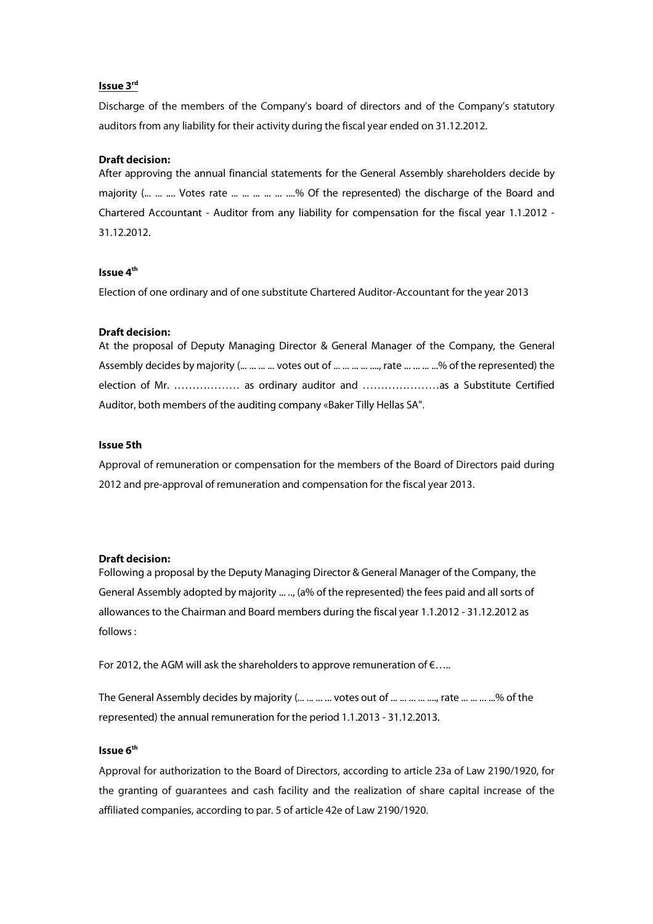#### **Issue 3 rd**

Discharge of the members of the Company's board of directors and of the Company's statutory auditors from any liability for their activity during the fiscal year ended on 31.12.2012.

#### **Draft decision:**

After approving the annual financial statements for the General Assembly shareholders decide by majority (... ... .... Votes rate ... ... ... ... ....% Of the represented) the discharge of the Board and Chartered Accountant - Auditor from any liability for compensation for the fiscal year 1.1.2012 - 31.12.2012.

## **Issue 4th**

Election of one ordinary and of one substitute Chartered Auditor-Accountant for the year 2013

#### **Draft decision:**

| At the proposal of Deputy Managing Director & General Manager of the Company, the General |
|-------------------------------------------------------------------------------------------|
| Assembly decides by majority (    votes out of     , rate     % of the represented) the   |
| election of Mr.  as ordinary auditor and  as a Substitute Certified                       |
| Auditor, both members of the auditing company «Baker Tilly Hellas SA".                    |

#### **Issue 5th**

Approval of remuneration or compensation for the members of the Board of Directors paid during 2012 and pre-approval of remuneration and compensation for the fiscal year 2013.

#### **Draft decision:**

Following a proposal by the Deputy Managing Director & General Manager of the Company, the General Assembly adopted by majority ... .., (a% of the represented) the fees paid and all sorts of allowances to the Chairman and Board members during the fiscal year 1.1.2012 - 31.12.2012 as follows :

For 2012, the AGM will ask the shareholders to approve remuneration of  $\epsilon$ .....

The General Assembly decides by majority (... ... ... ... votes out of ... ... ... ... ..., rate ... ... ... ..% of the represented) the annual remuneration for the period 1.1.2013 - 31.12.2013.

## **Issue 6th**

Approval for authorization to the Board of Directors, according to article 23a of Law 2190/1920, for the granting of guarantees and cash facility and the realization of share capital increase of the affiliated companies, according to par. 5 of article 42e of Law 2190/1920.